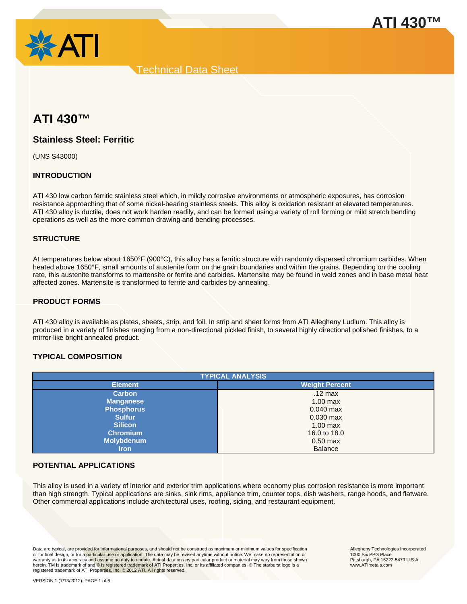



# **ATI 430™**

# **Stainless Steel: Ferritic**

(UNS S43000)

# **INTRODUCTION**

ATI 430 low carbon ferritic stainless steel which, in mildly corrosive environments or atmospheric exposures, has corrosion resistance approaching that of some nickel-bearing stainless steels. This alloy is oxidation resistant at elevated temperatures. ATI 430 alloy is ductile, does not work harden readily, and can be formed using a variety of roll forming or mild stretch bending operations as well as the more common drawing and bending processes.

### **STRUCTURE**

At temperatures below about 1650°F (900°C), this alloy has a ferritic structure with randomly dispersed chromium carbides. When heated above 1650°F, small amounts of austenite form on the grain boundaries and within the grains. Depending on the cooling rate, this austenite transforms to martensite or ferrite and carbides. Martensite may be found in weld zones and in base metal heat affected zones. Martensite is transformed to ferrite and carbides by annealing.

### **PRODUCT FORMS**

ATI 430 alloy is available as plates, sheets, strip, and foil. In strip and sheet forms from ATI Allegheny Ludlum. This alloy is produced in a variety of finishes ranging from a non-directional pickled finish, to several highly directional polished finishes, to a mirror-like bright annealed product.

## **TYPICAL COMPOSITION**

| <b>TYPICAL ANALYSIS</b> |                       |  |  |
|-------------------------|-----------------------|--|--|
| <b>Element</b>          | <b>Weight Percent</b> |  |  |
| <b>Carbon</b>           | $.12 \text{ max}$     |  |  |
| <b>Manganese</b>        | $1.00$ max            |  |  |
| <b>Phosphorus</b>       | $0.040$ max           |  |  |
| <b>Sulfur</b>           | $0.030$ max           |  |  |
| <b>Silicon</b>          | $1.00$ max            |  |  |
| <b>Chromium</b>         | 16.0 to 18.0          |  |  |
| <b>Molybdenum</b>       | $0.50$ max            |  |  |
| <b>Iron</b>             | <b>Balance</b>        |  |  |

### **POTENTIAL APPLICATIONS**

This alloy is used in a variety of interior and exterior trim applications where economy plus corrosion resistance is more important than high strength. Typical applications are sinks, sink rims, appliance trim, counter tops, dish washers, range hoods, and flatware. Other commercial applications include architectural uses, roofing, siding, and restaurant equipment.

Data are typical, are provided for informational purposes, and should not be construed as maximum or minimum values for specification<br>or for final design, or for a particular use or application. The data may be revised any warranty as to its accuracy and assume no duty to update. Actual data on any particular product or material may vary from those shown herein. TM is trademark of and ® is registered trademark of ATI Properties, Inc. or its affiliated companies. ® The starburst logo is a registered trademark of ATI Properties, Inc. © 2012 ATI. All rights reserved.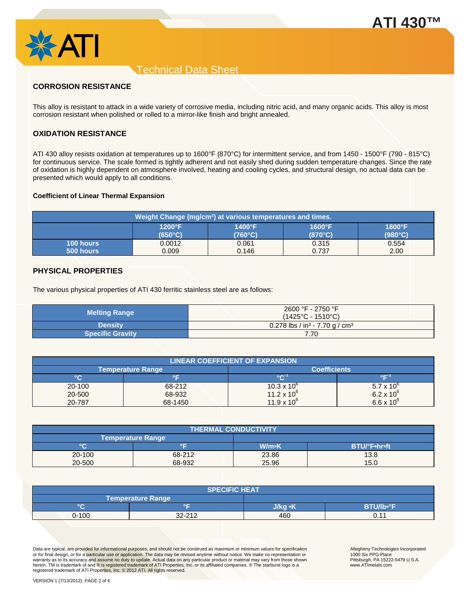

# **CORROSION RESISTANCE**

This alloy is resistant to attack in a wide variety of corrosive media, including nitric acid, and many organic acids. This alloy is most corrosion resistant when polished or rolled to a mirror-like finish and bright annealed.

# **OXIDATION RESISTANCE**

ATI 430 alloy resists oxidation at temperatures up to 1600°F (870°C) for intermittent service, and from 1450 - 1500°F (790 - 815°C) for continuous service. The scale formed is tightly adherent and not easily shed during sudden temperature changes. Since the rate of oxidation is highly dependent on atmosphere involved, heating and cooling cycles, and structural design, no actual data can be presented which would apply to all conditions.

#### **Coefficient of Linear Thermal Expansion**

| Weight Change (mg/cm <sup>2</sup> ) at various temperatures and times. |                  |                  |                  |                  |
|------------------------------------------------------------------------|------------------|------------------|------------------|------------------|
|                                                                        | $1200^{\circ}F$  | $1400^{\circ}$ F | $1600^{\circ}F$  | $1800^\circ F$   |
|                                                                        | $(650^{\circ}C)$ | (760°C)          | $(870^{\circ}C)$ | $(980^{\circ}C)$ |
| <b>100 hours</b>                                                       | 0.0012           | 0.061            | 0.315            | 0.554            |
| 500 hours                                                              | 0.009            | 0.146            | 0.737            | 2.00             |

### **PHYSICAL PROPERTIES**

The various physical properties of ATI 430 ferritic stainless steel are as follows:

| <b>Melting Range</b>    | 2600 °F - 2750 °F<br>$(1425^{\circ}C - 1510^{\circ}C)$ |  |
|-------------------------|--------------------------------------------------------|--|
| <b>Density</b>          | 0.278 lbs / in <sup>3</sup> - 7.70 g / cm <sup>3</sup> |  |
| <b>Specific Gravity</b> | 7.70                                                   |  |

| <b>LINEAR COEFFICIENT OF EXPANSION</b> |         |                      |                     |
|----------------------------------------|---------|----------------------|---------------------|
| <b>Temperature Range</b>               |         | <b>Coefficients</b>  |                     |
| $^{\circ}$ C                           |         | $\sim$               |                     |
| 20-100                                 | 68-212  | $10.3 \times 10^{6}$ | $5.7 \times 10^{6}$ |
| 20-500                                 | 68-932  | 11.2 x $10^6$        | $6.2 \times 10^{6}$ |
| 20-787                                 | 68-1450 | $11.9 \times 10^{6}$ | $6.6 \times 10^{6}$ |

| <b>THERMAL CONDUCTIVITY</b> |        |       |                     |
|-----------------------------|--------|-------|---------------------|
| <b>Temperature Range</b>    |        |       |                     |
| $\circ$                     | ᅂ      | W/m•K | <b>BTU/°F•hr•ft</b> |
| 20-100                      | 68-212 | 23.86 | 13.8                |
| 20-500                      | 68-932 | 25.96 | 15.0                |

| <b>SPECIFIC HEAT</b> |                   |         |                              |
|----------------------|-------------------|---------|------------------------------|
|                      | Temperature Range |         |                              |
| $\circ$              | ٥г                | J/kq •K | <b>BTU/Ib</b> <sup>o</sup> E |
| $0 - 100$            | 32-212            | 460     | 0.11                         |

Data are typical, are provided for informational purposes, and should not be construed as maximum or minimum values for specification<br>or for final design, or for a particular use or application. The data may be revised any warranty as to its accuracy and assume no duty to update. Actual data on any particular product or material may vary from those shown herein. TM is trademark of and ® is registered trademark of ATI Properties, Inc. or its affiliated companies. ® The starburst logo is a<br>registered trademark of ATI Properties, Inc. © 2012 ATI. All rights reserved.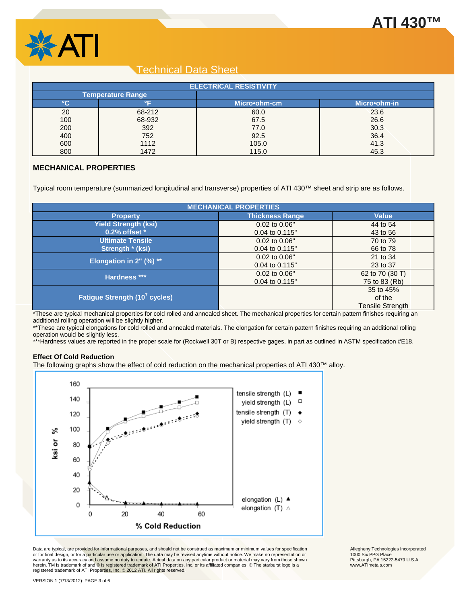



| <b>ELECTRICAL RESISTIVITY</b> |                                |              |              |
|-------------------------------|--------------------------------|--------------|--------------|
|                               | Temperature Range <sub>l</sub> |              |              |
| °C                            |                                | Micro•ohm-cm | Micro•ohm-in |
| 20                            | 68-212                         | 60.0         | 23.6         |
| 100                           | 68-932                         | 67.5         | 26.6         |
| 200                           | 392                            | 77.0         | 30.3         |
| 400                           | 752                            | 92.5         | 36.4         |
| 600                           | 1112                           | 105.0        | 41.3         |
| 800                           | 1472                           | 115.0        | 45.3         |

## **MECHANICAL PROPERTIES**

Typical room temperature (summarized longitudinal and transverse) properties of ATI 430™ sheet and strip are as follows.

| <b>MECHANICAL PROPERTIES</b>              |                        |                         |  |
|-------------------------------------------|------------------------|-------------------------|--|
| <b>Property</b>                           | <b>Thickness Range</b> | <b>Value</b>            |  |
| <b>Yield Strength (ksi)</b>               | 0.02 to 0.06"          | 44 to 54                |  |
| $0.2\%$ offset $*$                        | 0.04 to 0.115"         | 43 to 56                |  |
| <b>Ultimate Tensile</b>                   | 0.02 to 0.06"          | 70 to 79                |  |
| Strength * (ksi)                          | 0.04 to 0.115"         | 66 to 78                |  |
| Elongation in $2"$ (%) **                 | 0.02 to 0.06"          | 21 to 34                |  |
|                                           | 0.04 to 0.115"         | 23 to 37                |  |
| Hardness ***                              | 0.02 to 0.06"          | 62 to 70 (30 T)         |  |
|                                           | 0.04 to 0.115"         | 75 to 83 (Rb)           |  |
|                                           |                        | 35 to 45%               |  |
| Fatigue Strength (10 <sup>7</sup> cycles) |                        | of the                  |  |
|                                           |                        | <b>Tensile Strength</b> |  |

\*These are typical mechanical properties for cold rolled and annealed sheet. The mechanical properties for certain pattern finishes requiring an additional rolling operation will be slightly higher.

\*\*These are typical elongations for cold rolled and annealed materials. The elongation for certain pattern finishes requiring an additional rolling operation would be slightly less.

\*\*\*Hardness values are reported in the proper scale for (Rockwell 30T or B) respective gages, in part as outlined in ASTM specification #E18.

#### **Effect Of Cold Reduction**

The following graphs show the effect of cold reduction on the mechanical properties of ATI 430™ alloy.



Data are typical, are provided for informational purposes, and should not be construed as maximum or minimum values for specification<br>or for final design, or for a particular use or application. The data may be revised any warranty as to its accuracy and assume no duty to update. Actual data on any particular product or material may vary from those shown herein. TM is trademark of and ® is registered trademark of ATI Properties, Inc. or its affiliated companies. ® The starburst logo is a<br>registered trademark of ATI Properties, Inc. © 2012 ATI. All rights reserved.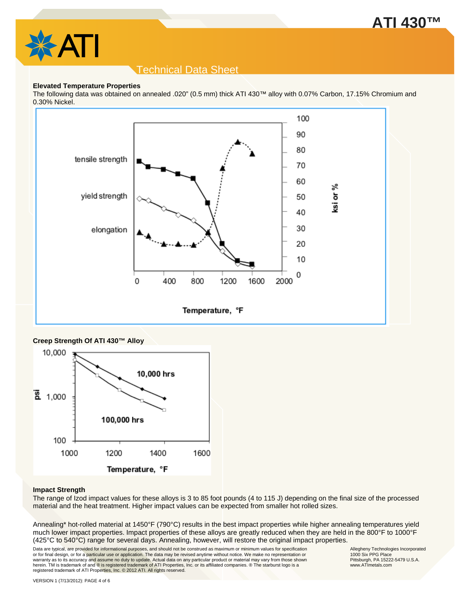



#### **Elevated Temperature Properties**

The following data was obtained on annealed .020" (0.5 mm) thick ATI 430™ alloy with 0.07% Carbon, 17.15% Chromium and 0.30% Nickel.



### **Creep Strength Of ATI 430™ Alloy**



#### **Impact Strength**

The range of Izod impact values for these alloys is 3 to 85 foot pounds (4 to 115 J) depending on the final size of the processed material and the heat treatment. Higher impact values can be expected from smaller hot rolled sizes.

Annealing\* hot-rolled material at 1450°F (790°C) results in the best impact properties while higher annealing temperatures yield much lower impact properties. Impact properties of these alloys are greatly reduced when they are held in the 800°F to 1000°F (425°C to 540°C) range for several days. Annealing, however, will restore the original impact properties.

Data are typical, are provided for informational purposes, and should not be construed as maximum or minimum values for specification<br>or for final design, or for a particular use or application. The data may be revised any warranty as to its accuracy and assume no duty to update. Actual data on any particular product or material may vary from those shown herein. TM is trademark of and ® is registered trademark of ATI Properties, Inc. or its affiliated companies. ® The starburst logo is a<br>registered trademark of ATI Properties, Inc. © 2012 ATI. All rights reserved.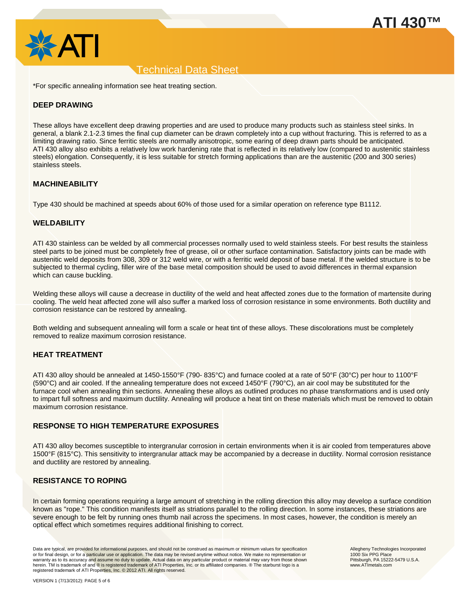



\*For specific annealing information see heat treating section.

### **DEEP DRAWING**

These alloys have excellent deep drawing properties and are used to produce many products such as stainless steel sinks. In general, a blank 2.1-2.3 times the final cup diameter can be drawn completely into a cup without fracturing. This is referred to as a limiting drawing ratio. Since ferritic steels are normally anisotropic, some earing of deep drawn parts should be anticipated. ATI 430 alloy also exhibits a relatively low work hardening rate that is reflected in its relatively low (compared to austenitic stainless steels) elongation. Consequently, it is less suitable for stretch forming applications than are the austenitic (200 and 300 series) stainless steels.

### **MACHINEABILITY**

Type 430 should be machined at speeds about 60% of those used for a similar operation on reference type B1112.

### **WELDABILITY**

ATI 430 stainless can be welded by all commercial processes normally used to weld stainless steels. For best results the stainless steel parts to be joined must be completely free of grease, oil or other surface contamination. Satisfactory joints can be made with austenitic weld deposits from 308, 309 or 312 weld wire, or with a ferritic weld deposit of base metal. If the welded structure is to be subjected to thermal cycling, filler wire of the base metal composition should be used to avoid differences in thermal expansion which can cause buckling.

Welding these alloys will cause a decrease in ductility of the weld and heat affected zones due to the formation of martensite during cooling. The weld heat affected zone will also suffer a marked loss of corrosion resistance in some environments. Both ductility and corrosion resistance can be restored by annealing.

Both welding and subsequent annealing will form a scale or heat tint of these alloys. These discolorations must be completely removed to realize maximum corrosion resistance.

### **HEAT TREATMENT**

ATI 430 alloy should be annealed at 1450-1550°F (790- 835°C) and furnace cooled at a rate of 50°F (30°C) per hour to 1100°F (590°C) and air cooled. If the annealing temperature does not exceed 1450°F (790°C), an air cool may be substituted for the furnace cool when annealing thin sections. Annealing these alloys as outlined produces no phase transformations and is used only to impart full softness and maximum ductility. Annealing will produce a heat tint on these materials which must be removed to obtain maximum corrosion resistance.

### **RESPONSE TO HIGH TEMPERATURE EXPOSURES**

ATI 430 alloy becomes susceptible to intergranular corrosion in certain environments when it is air cooled from temperatures above 1500°F (815°C). This sensitivity to intergranular attack may be accompanied by a decrease in ductility. Normal corrosion resistance and ductility are restored by annealing.

### **RESISTANCE TO ROPING**

In certain forming operations requiring a large amount of stretching in the rolling direction this alloy may develop a surface condition known as "rope." This condition manifests itself as striations parallel to the rolling direction. In some instances, these striations are severe enough to be felt by running ones thumb nail across the specimens. In most cases, however, the condition is merely an optical effect which sometimes requires additional finishing to correct.

Data are typical, are provided for informational purposes, and should not be construed as maximum or minimum values for specification<br>or for final design, or for a particular use or application. The data may be revised any warranty as to its accuracy and assume no duty to update. Actual data on any particular product or material may vary from those shown herein. TM is trademark of and ® is registered trademark of ATI Properties, Inc. or its affiliated companies. ® The starburst logo is a registered trademark of ATI Properties, Inc. © 2012 ATI. All rights reserved.